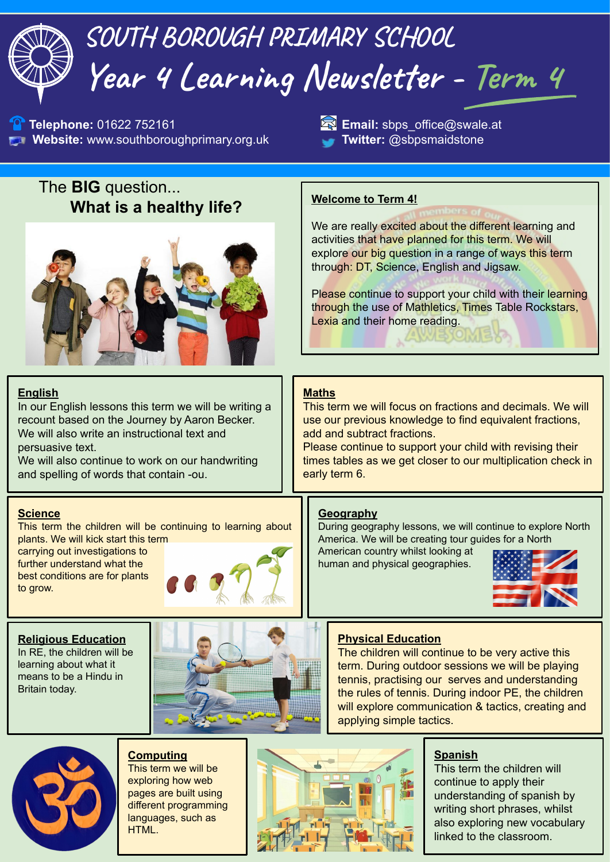

exploring how web pages are built using different programming languages, such as HTML.



continue to apply their understanding of spanish by writing short phrases, whilst also exploring new vocabulary linked to the classroom.